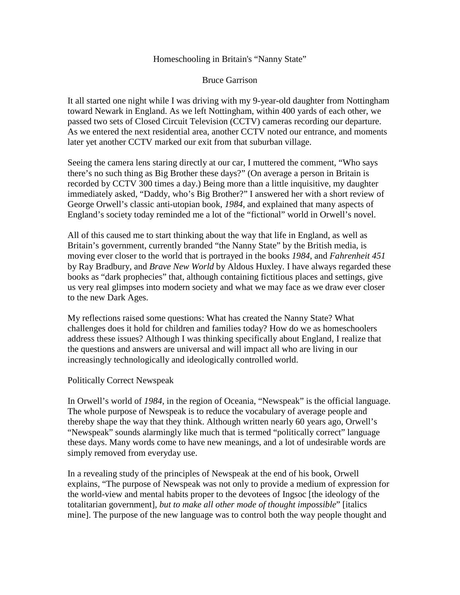#### Homeschooling in Britain's "Nanny State"

### Bruce Garrison

It all started one night while I was driving with my 9-year-old daughter from Nottingham toward Newark in England. As we left Nottingham, within 400 yards of each other, we passed two sets of Closed Circuit Television (CCTV) cameras recording our departure. As we entered the next residential area, another CCTV noted our entrance, and moments later yet another CCTV marked our exit from that suburban village.

Seeing the camera lens staring directly at our car, I muttered the comment, "Who says there's no such thing as Big Brother these days?" (On average a person in Britain is recorded by CCTV 300 times a day.) Being more than a little inquisitive, my daughter immediately asked, "Daddy, who's Big Brother?" I answered her with a short review of George Orwell's classic anti-utopian book, *1984*, and explained that many aspects of England's society today reminded me a lot of the "fictional" world in Orwell's novel.

All of this caused me to start thinking about the way that life in England, as well as Britain's government, currently branded "the Nanny State" by the British media, is moving ever closer to the world that is portrayed in the books *1984*, and *Fahrenheit 451* by Ray Bradbury, and *Brave New World* by Aldous Huxley. I have always regarded these books as "dark prophecies" that, although containing fictitious places and settings, give us very real glimpses into modern society and what we may face as we draw ever closer to the new Dark Ages.

My reflections raised some questions: What has created the Nanny State? What challenges does it hold for children and families today? How do we as homeschoolers address these issues? Although I was thinking specifically about England, I realize that the questions and answers are universal and will impact all who are living in our increasingly technologically and ideologically controlled world.

## Politically Correct Newspeak

In Orwell's world of *1984*, in the region of Oceania, "Newspeak" is the official language. The whole purpose of Newspeak is to reduce the vocabulary of average people and thereby shape the way that they think. Although written nearly 60 years ago, Orwell's "Newspeak" sounds alarmingly like much that is termed "politically correct" language these days. Many words come to have new meanings, and a lot of undesirable words are simply removed from everyday use.

In a revealing study of the principles of Newspeak at the end of his book, Orwell explains, "The purpose of Newspeak was not only to provide a medium of expression for the world-view and mental habits proper to the devotees of Ingsoc [the ideology of the totalitarian government], *but to make all other mode of thought impossible*" [italics mine]. The purpose of the new language was to control both the way people thought and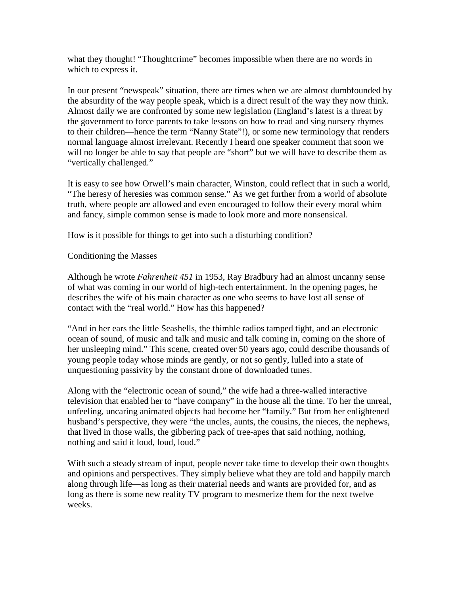what they thought! "Thoughtcrime" becomes impossible when there are no words in which to express it.

In our present "newspeak" situation, there are times when we are almost dumbfounded by the absurdity of the way people speak, which is a direct result of the way they now think. Almost daily we are confronted by some new legislation (England's latest is a threat by the government to force parents to take lessons on how to read and sing nursery rhymes to their children—hence the term "Nanny State"!), or some new terminology that renders normal language almost irrelevant. Recently I heard one speaker comment that soon we will no longer be able to say that people are "short" but we will have to describe them as "vertically challenged."

It is easy to see how Orwell's main character, Winston, could reflect that in such a world, "The heresy of heresies was common sense." As we get further from a world of absolute truth, where people are allowed and even encouraged to follow their every moral whim and fancy, simple common sense is made to look more and more nonsensical.

How is it possible for things to get into such a disturbing condition?

# Conditioning the Masses

Although he wrote *Fahrenheit 451* in 1953, Ray Bradbury had an almost uncanny sense of what was coming in our world of high-tech entertainment. In the opening pages, he describes the wife of his main character as one who seems to have lost all sense of contact with the "real world." How has this happened?

"And in her ears the little Seashells, the thimble radios tamped tight, and an electronic ocean of sound, of music and talk and music and talk coming in, coming on the shore of her unsleeping mind." This scene, created over 50 years ago, could describe thousands of young people today whose minds are gently, or not so gently, lulled into a state of unquestioning passivity by the constant drone of downloaded tunes.

Along with the "electronic ocean of sound," the wife had a three-walled interactive television that enabled her to "have company" in the house all the time. To her the unreal, unfeeling, uncaring animated objects had become her "family." But from her enlightened husband's perspective, they were "the uncles, aunts, the cousins, the nieces, the nephews, that lived in those walls, the gibbering pack of tree-apes that said nothing, nothing, nothing and said it loud, loud, loud."

With such a steady stream of input, people never take time to develop their own thoughts and opinions and perspectives. They simply believe what they are told and happily march along through life—as long as their material needs and wants are provided for, and as long as there is some new reality TV program to mesmerize them for the next twelve weeks.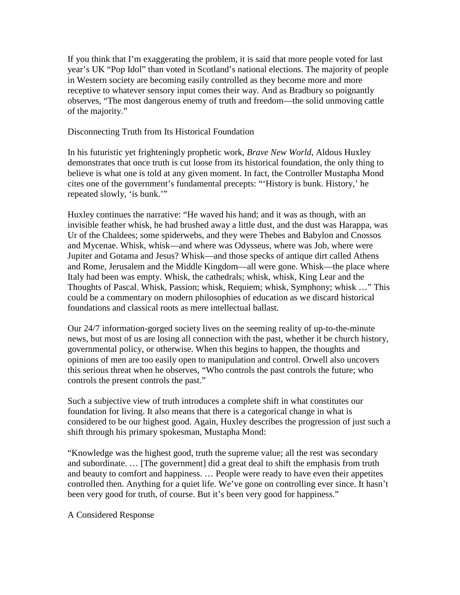If you think that I'm exaggerating the problem, it is said that more people voted for last year's UK "Pop Idol" than voted in Scotland's national elections. The majority of people in Western society are becoming easily controlled as they become more and more receptive to whatever sensory input comes their way. And as Bradbury so poignantly observes, "The most dangerous enemy of truth and freedom—the solid unmoving cattle of the majority."

#### Disconnecting Truth from Its Historical Foundation

In his futuristic yet frighteningly prophetic work, *Brave New World*, Aldous Huxley demonstrates that once truth is cut loose from its historical foundation, the only thing to believe is what one is told at any given moment. In fact, the Controller Mustapha Mond cites one of the government's fundamental precepts: "'History is bunk. History,' he repeated slowly, 'is bunk.'"

Huxley continues the narrative: "He waved his hand; and it was as though, with an invisible feather whisk, he had brushed away a little dust, and the dust was Harappa, was Ur of the Chaldees; some spiderwebs, and they were Thebes and Babylon and Cnossos and Mycenae. Whisk, whisk—and where was Odysseus, where was Job, where were Jupiter and Gotama and Jesus? Whisk—and those specks of antique dirt called Athens and Rome, Jerusalem and the Middle Kingdom—all were gone. Whisk—the place where Italy had been was empty. Whisk, the cathedrals; whisk, whisk, King Lear and the Thoughts of Pascal. Whisk, Passion; whisk, Requiem; whisk, Symphony; whisk …" This could be a commentary on modern philosophies of education as we discard historical foundations and classical roots as mere intellectual ballast.

Our 24/7 information-gorged society lives on the seeming reality of up-to-the-minute news, but most of us are losing all connection with the past, whether it be church history, governmental policy, or otherwise. When this begins to happen, the thoughts and opinions of men are too easily open to manipulation and control. Orwell also uncovers this serious threat when he observes, "Who controls the past controls the future; who controls the present controls the past."

Such a subjective view of truth introduces a complete shift in what constitutes our foundation for living. It also means that there is a categorical change in what is considered to be our highest good. Again, Huxley describes the progression of just such a shift through his primary spokesman, Mustapha Mond:

"Knowledge was the highest good, truth the supreme value; all the rest was secondary and subordinate. … [The government] did a great deal to shift the emphasis from truth and beauty to comfort and happiness. … People were ready to have even their appetites controlled then. Anything for a quiet life. We've gone on controlling ever since. It hasn't been very good for truth, of course. But it's been very good for happiness."

A Considered Response